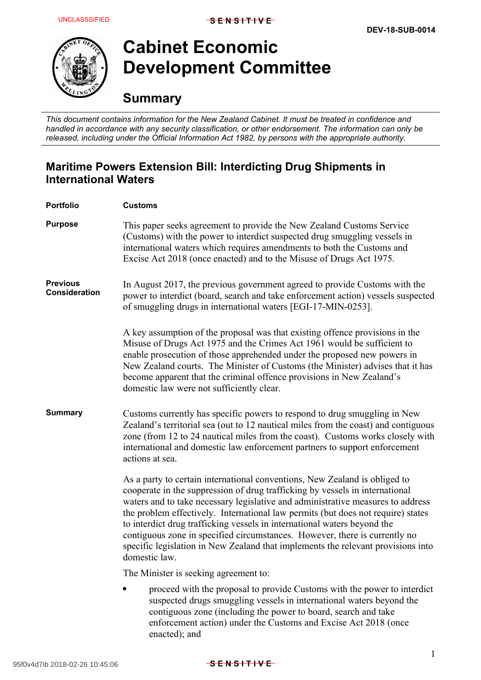

# **Cabinet Economic Development Committee**

# **Summary**

*This document contains information for the New Zealand Cabinet. It must be treated in confidence and handled in accordance with any security classification, or other endorsement. The information can only be released, including under the Official Information Act 1982, by persons with the appropriate authority.*

## **Maritime Powers Extension Bill: Interdicting Drug Shipments in International Waters**

| <b>Portfolio</b>                        | <b>Customs</b>                                                                                                                                                                                                                                                                                                                                                                                                                                                                                                                                                                                   |
|-----------------------------------------|--------------------------------------------------------------------------------------------------------------------------------------------------------------------------------------------------------------------------------------------------------------------------------------------------------------------------------------------------------------------------------------------------------------------------------------------------------------------------------------------------------------------------------------------------------------------------------------------------|
| <b>Purpose</b>                          | This paper seeks agreement to provide the New Zealand Customs Service<br>(Customs) with the power to interdict suspected drug smuggling vessels in<br>international waters which requires amendments to both the Customs and<br>Excise Act 2018 (once enacted) and to the Misuse of Drugs Act 1975.                                                                                                                                                                                                                                                                                              |
| <b>Previous</b><br><b>Consideration</b> | In August 2017, the previous government agreed to provide Customs with the<br>power to interdict (board, search and take enforcement action) vessels suspected<br>of smuggling drugs in international waters [EGI-17-MIN-0253].                                                                                                                                                                                                                                                                                                                                                                  |
|                                         | A key assumption of the proposal was that existing offence provisions in the<br>Misuse of Drugs Act 1975 and the Crimes Act 1961 would be sufficient to<br>enable prosecution of those apprehended under the proposed new powers in<br>New Zealand courts. The Minister of Customs (the Minister) advises that it has<br>become apparent that the criminal offence provisions in New Zealand's<br>domestic law were not sufficiently clear.                                                                                                                                                      |
| <b>Summary</b>                          | Customs currently has specific powers to respond to drug smuggling in New<br>Zealand's territorial sea (out to 12 nautical miles from the coast) and contiguous<br>zone (from 12 to 24 nautical miles from the coast). Customs works closely with<br>international and domestic law enforcement partners to support enforcement<br>actions at sea.                                                                                                                                                                                                                                               |
|                                         | As a party to certain international conventions, New Zealand is obliged to<br>cooperate in the suppression of drug trafficking by vessels in international<br>waters and to take necessary legislative and administrative measures to address<br>the problem effectively. International law permits (but does not require) states<br>to interdict drug trafficking vessels in international waters beyond the<br>contiguous zone in specified circumstances. However, there is currently no<br>specific legislation in New Zealand that implements the relevant provisions into<br>domestic law. |
|                                         | The Minister is seeking agreement to:                                                                                                                                                                                                                                                                                                                                                                                                                                                                                                                                                            |
|                                         | proceed with the proposal to provide Customs with the power to interdict<br>suspected drugs smuggling vessels in international waters beyond the<br>contiguous zone (including the power to board, search and take<br>enforcement action) under the Customs and Excise Act 2018 (once                                                                                                                                                                                                                                                                                                            |

enacted); and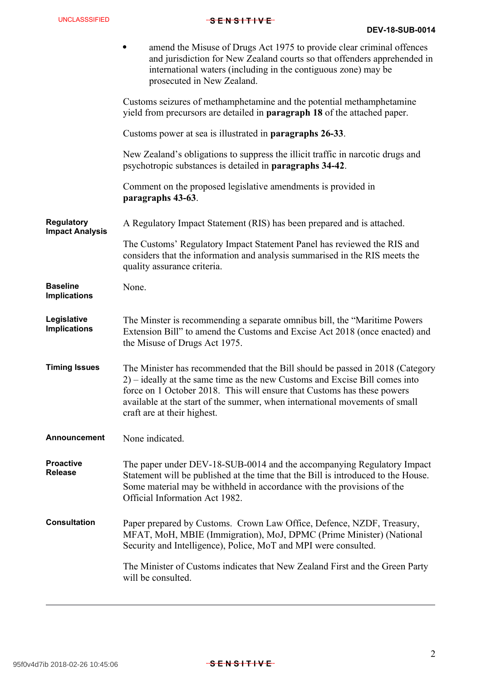#### **S E N S I T I V E** UNCLASSSIFIED --------------------------------

|                                             | amend the Misuse of Drugs Act 1975 to provide clear criminal offences<br>and jurisdiction for New Zealand courts so that offenders apprehended in<br>international waters (including in the contiguous zone) may be<br>prosecuted in New Zealand.                                                                                                        |
|---------------------------------------------|----------------------------------------------------------------------------------------------------------------------------------------------------------------------------------------------------------------------------------------------------------------------------------------------------------------------------------------------------------|
|                                             | Customs seizures of methamphetamine and the potential methamphetamine<br>yield from precursors are detailed in <b>paragraph 18</b> of the attached paper.                                                                                                                                                                                                |
|                                             | Customs power at sea is illustrated in <b>paragraphs 26-33</b> .                                                                                                                                                                                                                                                                                         |
|                                             | New Zealand's obligations to suppress the illicit traffic in narcotic drugs and<br>psychotropic substances is detailed in <b>paragraphs 34-42</b> .                                                                                                                                                                                                      |
|                                             | Comment on the proposed legislative amendments is provided in<br>paragraphs 43-63.                                                                                                                                                                                                                                                                       |
| <b>Regulatory</b><br><b>Impact Analysis</b> | A Regulatory Impact Statement (RIS) has been prepared and is attached.                                                                                                                                                                                                                                                                                   |
|                                             | The Customs' Regulatory Impact Statement Panel has reviewed the RIS and<br>considers that the information and analysis summarised in the RIS meets the<br>quality assurance criteria.                                                                                                                                                                    |
| <b>Baseline</b><br><b>Implications</b>      | None.                                                                                                                                                                                                                                                                                                                                                    |
| Legislative<br><b>Implications</b>          | The Minster is recommending a separate omnibus bill, the "Maritime Powers"<br>Extension Bill" to amend the Customs and Excise Act 2018 (once enacted) and<br>the Misuse of Drugs Act 1975.                                                                                                                                                               |
| <b>Timing Issues</b>                        | The Minister has recommended that the Bill should be passed in 2018 (Category<br>$2$ ) – ideally at the same time as the new Customs and Excise Bill comes into<br>force on 1 October 2018. This will ensure that Customs has these powers<br>available at the start of the summer, when international movements of small<br>craft are at their highest. |
| <b>Announcement</b>                         | None indicated.                                                                                                                                                                                                                                                                                                                                          |
| <b>Proactive</b><br><b>Release</b>          | The paper under DEV-18-SUB-0014 and the accompanying Regulatory Impact<br>Statement will be published at the time that the Bill is introduced to the House.<br>Some material may be withheld in accordance with the provisions of the<br>Official Information Act 1982.                                                                                  |
| <b>Consultation</b>                         | Paper prepared by Customs. Crown Law Office, Defence, NZDF, Treasury,<br>MFAT, MoH, MBIE (Immigration), MoJ, DPMC (Prime Minister) (National<br>Security and Intelligence), Police, MoT and MPI were consulted.                                                                                                                                          |
|                                             | The Minister of Customs indicates that New Zealand First and the Green Party<br>will be consulted.                                                                                                                                                                                                                                                       |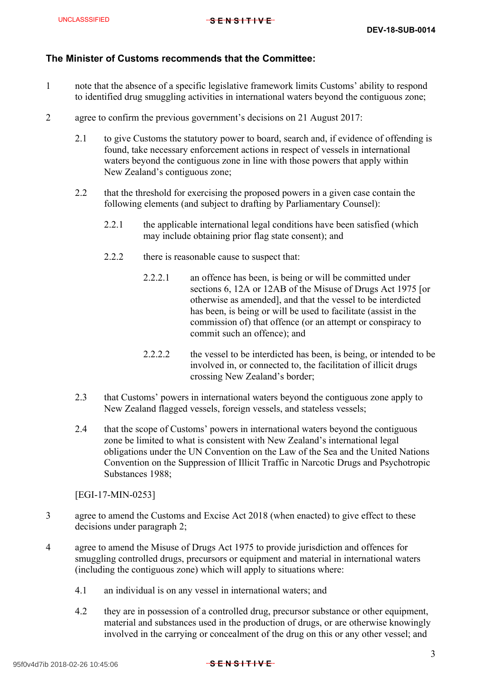#### **The Minister of Customs recommends that the Committee:**

- 1 note that the absence of a specific legislative framework limits Customs' ability to respond to identified drug smuggling activities in international waters beyond the contiguous zone;
- 2 agree to confirm the previous government's decisions on 21 August 2017:
	- 2.1 to give Customs the statutory power to board, search and, if evidence of offending is found, take necessary enforcement actions in respect of vessels in international waters beyond the contiguous zone in line with those powers that apply within New Zealand's contiguous zone;
	- 2.2 that the threshold for exercising the proposed powers in a given case contain the following elements (and subject to drafting by Parliamentary Counsel):
		- 2.2.1 the applicable international legal conditions have been satisfied (which may include obtaining prior flag state consent); and
		- 2.2.2 there is reasonable cause to suspect that:
			- 2.2.2.1 an offence has been, is being or will be committed under sections 6, 12A or 12AB of the Misuse of Drugs Act 1975 [or otherwise as amended], and that the vessel to be interdicted has been, is being or will be used to facilitate (assist in the commission of) that offence (or an attempt or conspiracy to commit such an offence); and
			- 2.2.2.2 the vessel to be interdicted has been, is being, or intended to be involved in, or connected to, the facilitation of illicit drugs crossing New Zealand's border;
	- 2.3 that Customs' powers in international waters beyond the contiguous zone apply to New Zealand flagged vessels, foreign vessels, and stateless vessels;
	- 2.4 that the scope of Customs' powers in international waters beyond the contiguous zone be limited to what is consistent with New Zealand's international legal obligations under the UN Convention on the Law of the Sea and the United Nations Convention on the Suppression of Illicit Traffic in Narcotic Drugs and Psychotropic Substances 1988;

[EGI-17-MIN-0253]

- 3 agree to amend the Customs and Excise Act 2018 (when enacted) to give effect to these decisions under paragraph 2;
- 4 agree to amend the Misuse of Drugs Act 1975 to provide jurisdiction and offences for smuggling controlled drugs, precursors or equipment and material in international waters (including the contiguous zone) which will apply to situations where:
	- 4.1 an individual is on any vessel in international waters; and
	- 4.2 they are in possession of a controlled drug, precursor substance or other equipment, material and substances used in the production of drugs, or are otherwise knowingly involved in the carrying or concealment of the drug on this or any other vessel; and

 $-S - F - N - S + F + V - F - I$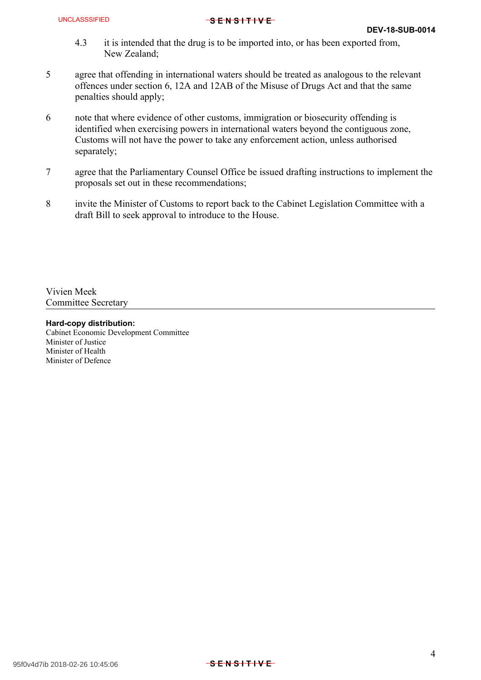#### **S E N S I T I V E** UNCLASSSIFIED --------------------------------

- 4.3 it is intended that the drug is to be imported into, or has been exported from, New Zealand;
- 5 agree that offending in international waters should be treated as analogous to the relevant offences under section 6, 12A and 12AB of the Misuse of Drugs Act and that the same penalties should apply;
- 6 note that where evidence of other customs, immigration or biosecurity offending is identified when exercising powers in international waters beyond the contiguous zone, Customs will not have the power to take any enforcement action, unless authorised separately;
- 7 agree that the Parliamentary Counsel Office be issued drafting instructions to implement the proposals set out in these recommendations;
- 8 invite the Minister of Customs to report back to the Cabinet Legislation Committee with a draft Bill to seek approval to introduce to the House.

Vivien Meek Committee Secretary

#### **Hard-copy distribution:**

Cabinet Economic Development Committee Minister of Justice Minister of Health Minister of Defence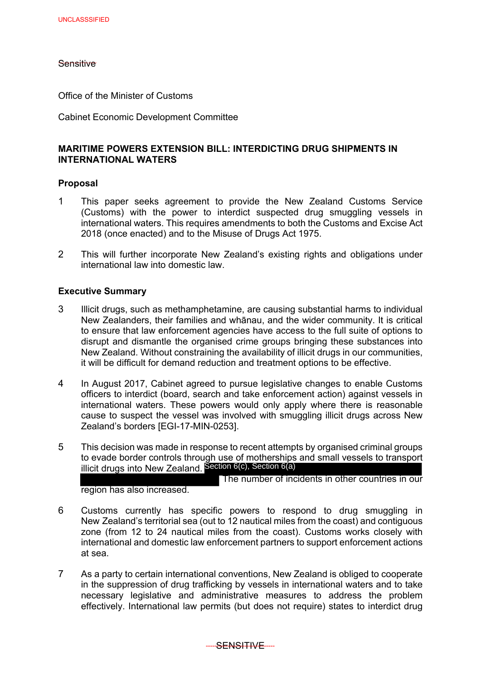#### Sensitive

Office of the Minister of Customs

Cabinet Economic Development Committee

### **MARITIME POWERS EXTENSION BILL: INTERDICTING DRUG SHIPMENTS IN INTERNATIONAL WATERS**

#### **Proposal**

- 1 This paper seeks agreement to provide the New Zealand Customs Service (Customs) with the power to interdict suspected drug smuggling vessels in international waters. This requires amendments to both the Customs and Excise Act 2018 (once enacted) and to the Misuse of Drugs Act 1975.
- 2 This will further incorporate New Zealand's existing rights and obligations under international law into domestic law.

#### **Executive Summary**

- 3 Illicit drugs, such as methamphetamine, are causing substantial harms to individual New Zealanders, their families and whānau, and the wider community. It is critical to ensure that law enforcement agencies have access to the full suite of options to disrupt and dismantle the organised crime groups bringing these substances into New Zealand. Without constraining the availability of illicit drugs in our communities, it will be difficult for demand reduction and treatment options to be effective.
- 4 In August 2017, Cabinet agreed to pursue legislative changes to enable Customs officers to interdict (board, search and take enforcement action) against vessels in international waters. These powers would only apply where there is reasonable cause to suspect the vessel was involved with smuggling illicit drugs across New Zealand's borders [EGI-17-MIN-0253].
- 5 This decision was made in response to recent attempts by organised criminal groups to evade border controls through use of motherships and small vessels to transport illicit drugs into New Zealand. Section 6(c), Section 6(a) The number of incidents in other countries in our

region has also increased.

- 6 Customs currently has specific powers to respond to drug smuggling in New Zealand's territorial sea (out to 12 nautical miles from the coast) and contiguous zone (from 12 to 24 nautical miles from the coast). Customs works closely with international and domestic law enforcement partners to support enforcement actions at sea.
- 7 As a party to certain international conventions, New Zealand is obliged to cooperate in the suppression of drug trafficking by vessels in international waters and to take necessary legislative and administrative measures to address the problem effectively. International law permits (but does not require) states to interdict drug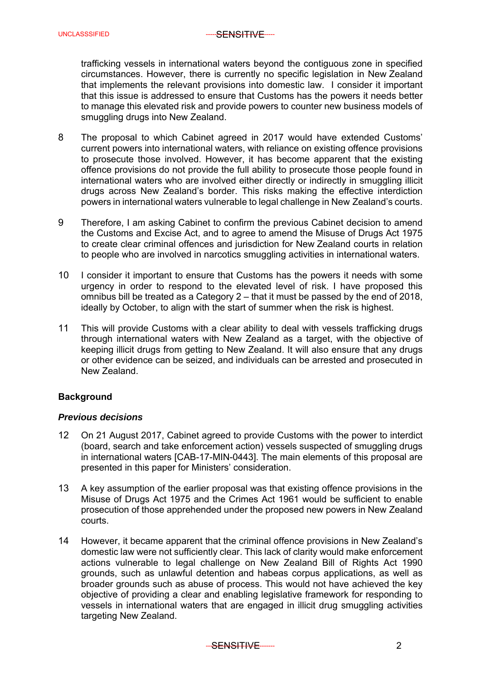trafficking vessels in international waters beyond the contiguous zone in specified circumstances. However, there is currently no specific legislation in New Zealand that implements the relevant provisions into domestic law. I consider it important that this issue is addressed to ensure that Customs has the powers it needs better to manage this elevated risk and provide powers to counter new business models of smuggling drugs into New Zealand.

- 8 The proposal to which Cabinet agreed in 2017 would have extended Customs' current powers into international waters, with reliance on existing offence provisions to prosecute those involved. However, it has become apparent that the existing offence provisions do not provide the full ability to prosecute those people found in international waters who are involved either directly or indirectly in smuggling illicit drugs across New Zealand's border. This risks making the effective interdiction powers in international waters vulnerable to legal challenge in New Zealand's courts.
- 9 Therefore, I am asking Cabinet to confirm the previous Cabinet decision to amend the Customs and Excise Act, and to agree to amend the Misuse of Drugs Act 1975 to create clear criminal offences and jurisdiction for New Zealand courts in relation to people who are involved in narcotics smuggling activities in international waters.
- 10 I consider it important to ensure that Customs has the powers it needs with some urgency in order to respond to the elevated level of risk. I have proposed this omnibus bill be treated as a Category 2 – that it must be passed by the end of 2018, ideally by October, to align with the start of summer when the risk is highest.
- 11 This will provide Customs with a clear ability to deal with vessels trafficking drugs through international waters with New Zealand as a target, with the objective of keeping illicit drugs from getting to New Zealand. It will also ensure that any drugs or other evidence can be seized, and individuals can be arrested and prosecuted in New Zealand.

#### **Background**

#### *Previous decisions*

- 12 On 21 August 2017, Cabinet agreed to provide Customs with the power to interdict (board, search and take enforcement action) vessels suspected of smuggling drugs in international waters [CAB-17-MIN-0443]. The main elements of this proposal are presented in this paper for Ministers' consideration.
- 13 A key assumption of the earlier proposal was that existing offence provisions in the Misuse of Drugs Act 1975 and the Crimes Act 1961 would be sufficient to enable prosecution of those apprehended under the proposed new powers in New Zealand courts.
- 14 However, it became apparent that the criminal offence provisions in New Zealand's domestic law were not sufficiently clear. This lack of clarity would make enforcement actions vulnerable to legal challenge on New Zealand Bill of Rights Act 1990 grounds, such as unlawful detention and habeas corpus applications, as well as broader grounds such as abuse of process. This would not have achieved the key objective of providing a clear and enabling legislative framework for responding to vessels in international waters that are engaged in illicit drug smuggling activities targeting New Zealand.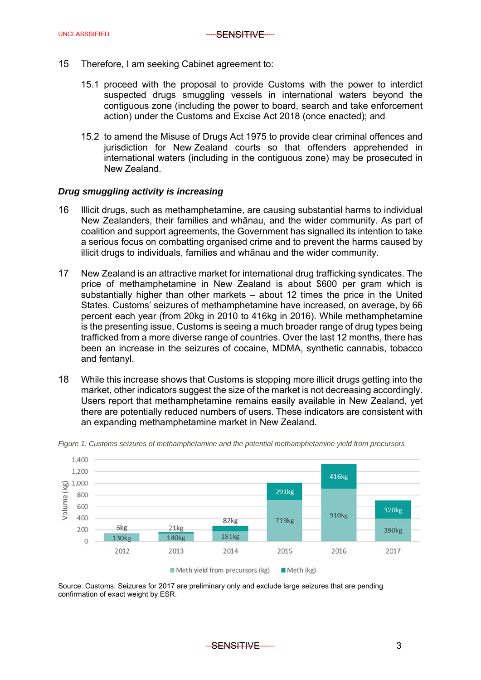- 15 Therefore, I am seeking Cabinet agreement to:
	- 15.1 proceed with the proposal to provide Customs with the power to interdict suspected drugs smuggling vessels in international waters beyond the contiguous zone (including the power to board, search and take enforcement action) under the Customs and Excise Act 2018 (once enacted); and
	- 15.2 to amend the Misuse of Drugs Act 1975 to provide clear criminal offences and jurisdiction for New Zealand courts so that offenders apprehended in international waters (including in the contiguous zone) may be prosecuted in New Zealand.

#### *Drug smuggling activity is increasing*

- 16 Illicit drugs, such as methamphetamine, are causing substantial harms to individual New Zealanders, their families and whānau, and the wider community. As part of coalition and support agreements, the Government has signalled its intention to take a serious focus on combatting organised crime and to prevent the harms caused by illicit drugs to individuals, families and whānau and the wider community.
- 17 New Zealand is an attractive market for international drug trafficking syndicates. The price of methamphetamine in New Zealand is about \$600 per gram which is substantially higher than other markets – about 12 times the price in the United States. Customs' seizures of methamphetamine have increased, on average, by 66 percent each year (from 20kg in 2010 to 416kg in 2016). While methamphetamine is the presenting issue, Customs is seeing a much broader range of drug types being trafficked from a more diverse range of countries. Over the last 12 months, there has been an increase in the seizures of cocaine, MDMA, synthetic cannabis, tobacco and fentanyl.
- 18 While this increase shows that Customs is stopping more illicit drugs getting into the market, other indicators suggest the size of the market is not decreasing accordingly. Users report that methamphetamine remains easily available in New Zealand, yet there are potentially reduced numbers of users. These indicators are consistent with an expanding methamphetamine market in New Zealand.



*Figure 1: Customs seizures of methamphetamine and the potential methamphetamine yield from precursors* 

Source: Customs. Seizures for 2017 are preliminary only and exclude large seizures that are pending confirmation of exact weight by ESR.

SENSITIVE 3 --------------------------------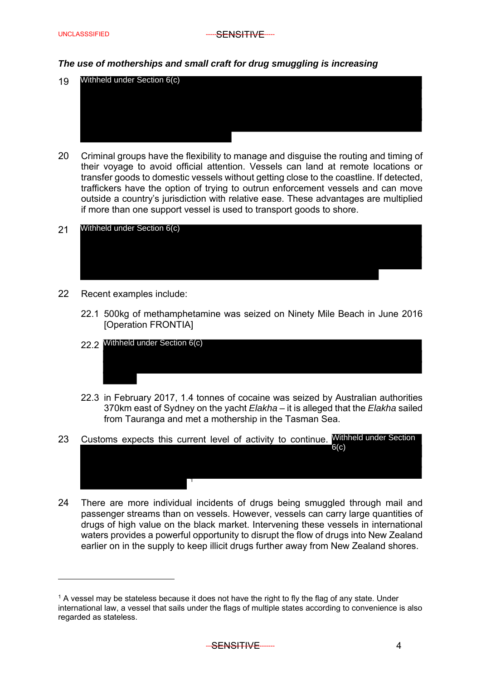#### *The use of motherships and small craft for drug smuggling is increasing*



20 Criminal groups have the flexibility to manage and disguise the routing and timing of their voyage to avoid official attention. Vessels can land at remote locations or transfer goods to domestic vessels without getting close to the coastline. If detected, traffickers have the option of trying to outrun enforcement vessels and can move outside a country's jurisdiction with relative ease. These advantages are multiplied if more than one support vessel is used to transport goods to shore.



- 22 Recent examples include:
	- 22.1 500kg of methamphetamine was seized on Ninety Mile Beach in June 2016 [Operation FRONTIA]
	- 22.2 Withheld under Section 6(c)
	- 22.3 in February 2017, 1.4 tonnes of cocaine was seized by Australian authorities 370km east of Sydney on the yacht *Elakha* – it is alleged that the *Elakha* sailed from Tauranga and met a mothership in the Tasman Sea.
- 23 Customs expects this current level of activity to continue. Withheld under Section 6(c)

1

24 There are more individual incidents of drugs being smuggled through mail and passenger streams than on vessels. However, vessels can carry large quantities of drugs of high value on the black market. Intervening these vessels in international waters provides a powerful opportunity to disrupt the flow of drugs into New Zealand earlier on in the supply to keep illicit drugs further away from New Zealand shores.

<sup>&</sup>lt;sup>1</sup> A vessel may be stateless because it does not have the right to fly the flag of any state. Under international law, a vessel that sails under the flags of multiple states according to convenience is also regarded as stateless.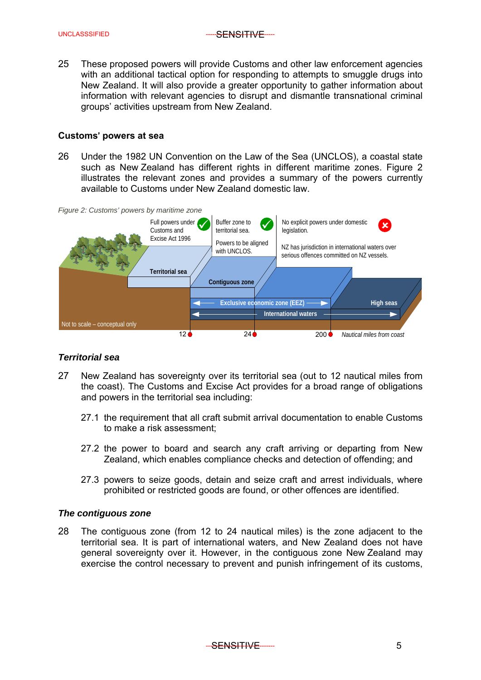25 These proposed powers will provide Customs and other law enforcement agencies with an additional tactical option for responding to attempts to smuggle drugs into New Zealand. It will also provide a greater opportunity to gather information about information with relevant agencies to disrupt and dismantle transnational criminal groups' activities upstream from New Zealand.

#### **Customs**' **powers at sea**

26 Under the 1982 UN Convention on the Law of the Sea (UNCLOS), a coastal state such as New Zealand has different rights in different maritime zones. Figure 2 illustrates the relevant zones and provides a summary of the powers currently available to Customs under New Zealand domestic law.



#### *Territorial sea*

- 27 New Zealand has sovereignty over its territorial sea (out to 12 nautical miles from the coast). The Customs and Excise Act provides for a broad range of obligations and powers in the territorial sea including:
	- 27.1 the requirement that all craft submit arrival documentation to enable Customs to make a risk assessment;
	- 27.2 the power to board and search any craft arriving or departing from New Zealand, which enables compliance checks and detection of offending; and
	- 27.3 powers to seize goods, detain and seize craft and arrest individuals, where prohibited or restricted goods are found, or other offences are identified.

#### *The contiguous zone*

28 The contiguous zone (from 12 to 24 nautical miles) is the zone adjacent to the territorial sea. It is part of international waters, and New Zealand does not have general sovereignty over it. However, in the contiguous zone New Zealand may exercise the control necessary to prevent and punish infringement of its customs,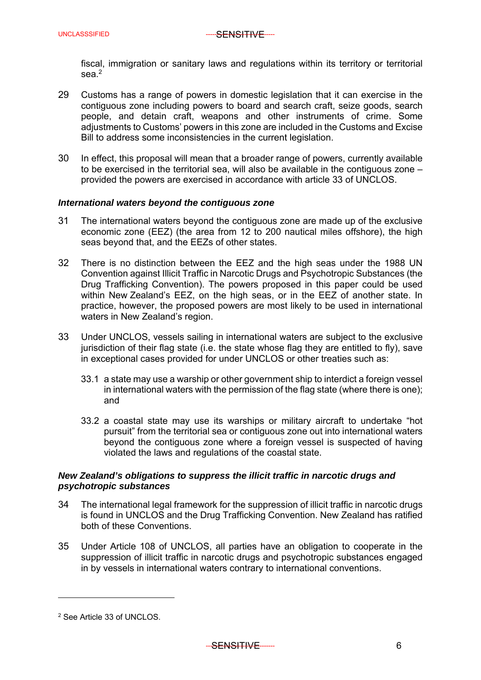fiscal, immigration or sanitary laws and regulations within its territory or territorial sea.<sup>2</sup>

- 29 Customs has a range of powers in domestic legislation that it can exercise in the contiguous zone including powers to board and search craft, seize goods, search people, and detain craft, weapons and other instruments of crime. Some adjustments to Customs' powers in this zone are included in the Customs and Excise Bill to address some inconsistencies in the current legislation.
- 30 In effect, this proposal will mean that a broader range of powers, currently available to be exercised in the territorial sea, will also be available in the contiguous zone – provided the powers are exercised in accordance with article 33 of UNCLOS.

#### *International waters beyond the contiguous zone*

- 31 The international waters beyond the contiguous zone are made up of the exclusive economic zone (EEZ) (the area from 12 to 200 nautical miles offshore), the high seas beyond that, and the EEZs of other states.
- 32 There is no distinction between the EEZ and the high seas under the 1988 UN Convention against Illicit Traffic in Narcotic Drugs and Psychotropic Substances (the Drug Trafficking Convention). The powers proposed in this paper could be used within New Zealand's EEZ, on the high seas, or in the EEZ of another state. In practice, however, the proposed powers are most likely to be used in international waters in New Zealand's region.
- 33 Under UNCLOS, vessels sailing in international waters are subject to the exclusive jurisdiction of their flag state (i.e. the state whose flag they are entitled to fly), save in exceptional cases provided for under UNCLOS or other treaties such as:
	- 33.1 a state may use a warship or other government ship to interdict a foreign vessel in international waters with the permission of the flag state (where there is one); and
	- 33.2 a coastal state may use its warships or military aircraft to undertake "hot pursuit" from the territorial sea or contiguous zone out into international waters beyond the contiguous zone where a foreign vessel is suspected of having violated the laws and regulations of the coastal state.

#### *New Zealand's obligations to suppress the illicit traffic in narcotic drugs and psychotropic substances*

- 34 The international legal framework for the suppression of illicit traffic in narcotic drugs is found in UNCLOS and the Drug Trafficking Convention. New Zealand has ratified both of these Conventions.
- 35 Under Article 108 of UNCLOS, all parties have an obligation to cooperate in the suppression of illicit traffic in narcotic drugs and psychotropic substances engaged in by vessels in international waters contrary to international conventions.

-

<sup>2</sup> See Article 33 of UNCLOS.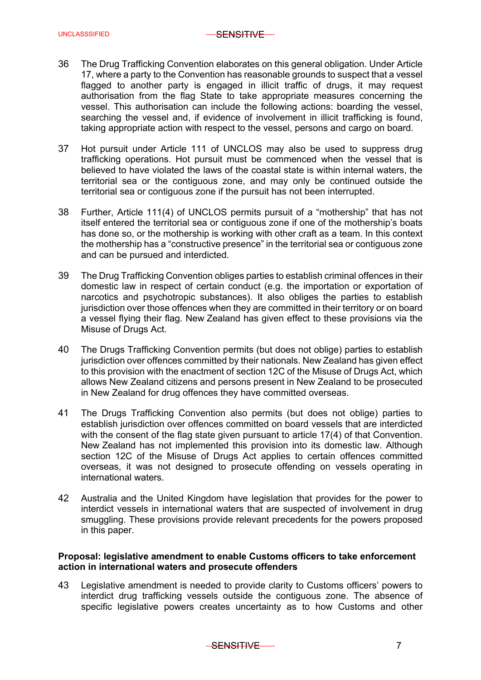- 36 The Drug Trafficking Convention elaborates on this general obligation. Under Article 17, where a party to the Convention has reasonable grounds to suspect that a vessel flagged to another party is engaged in illicit traffic of drugs, it may request authorisation from the flag State to take appropriate measures concerning the vessel. This authorisation can include the following actions: boarding the vessel, searching the vessel and, if evidence of involvement in illicit trafficking is found, taking appropriate action with respect to the vessel, persons and cargo on board.
- 37 Hot pursuit under Article 111 of UNCLOS may also be used to suppress drug trafficking operations. Hot pursuit must be commenced when the vessel that is believed to have violated the laws of the coastal state is within internal waters, the territorial sea or the contiguous zone, and may only be continued outside the territorial sea or contiguous zone if the pursuit has not been interrupted.
- 38 Further, Article 111(4) of UNCLOS permits pursuit of a "mothership" that has not itself entered the territorial sea or contiguous zone if one of the mothership's boats has done so, or the mothership is working with other craft as a team. In this context the mothership has a "constructive presence" in the territorial sea or contiguous zone and can be pursued and interdicted.
- 39 The Drug Trafficking Convention obliges parties to establish criminal offences in their domestic law in respect of certain conduct (e.g. the importation or exportation of narcotics and psychotropic substances). It also obliges the parties to establish jurisdiction over those offences when they are committed in their territory or on board a vessel flying their flag. New Zealand has given effect to these provisions via the Misuse of Drugs Act.
- 40 The Drugs Trafficking Convention permits (but does not oblige) parties to establish jurisdiction over offences committed by their nationals. New Zealand has given effect to this provision with the enactment of section 12C of the Misuse of Drugs Act, which allows New Zealand citizens and persons present in New Zealand to be prosecuted in New Zealand for drug offences they have committed overseas.
- 41 The Drugs Trafficking Convention also permits (but does not oblige) parties to establish jurisdiction over offences committed on board vessels that are interdicted with the consent of the flag state given pursuant to article 17(4) of that Convention. New Zealand has not implemented this provision into its domestic law. Although section 12C of the Misuse of Drugs Act applies to certain offences committed overseas, it was not designed to prosecute offending on vessels operating in international waters.
- 42 Australia and the United Kingdom have legislation that provides for the power to interdict vessels in international waters that are suspected of involvement in drug smuggling. These provisions provide relevant precedents for the powers proposed in this paper.

#### **Proposal: legislative amendment to enable Customs officers to take enforcement action in international waters and prosecute offenders**

43 Legislative amendment is needed to provide clarity to Customs officers' powers to interdict drug trafficking vessels outside the contiguous zone. The absence of specific legislative powers creates uncertainty as to how Customs and other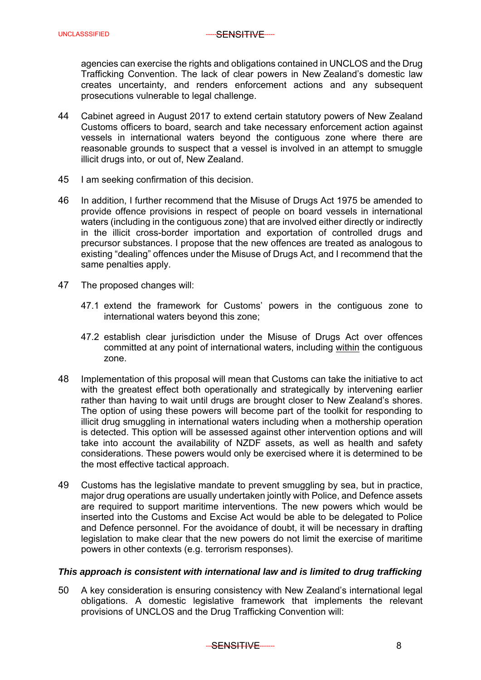agencies can exercise the rights and obligations contained in UNCLOS and the Drug Trafficking Convention. The lack of clear powers in New Zealand's domestic law creates uncertainty, and renders enforcement actions and any subsequent prosecutions vulnerable to legal challenge.

- 44 Cabinet agreed in August 2017 to extend certain statutory powers of New Zealand Customs officers to board, search and take necessary enforcement action against vessels in international waters beyond the contiguous zone where there are reasonable grounds to suspect that a vessel is involved in an attempt to smuggle illicit drugs into, or out of, New Zealand.
- 45 I am seeking confirmation of this decision.
- 46 In addition, I further recommend that the Misuse of Drugs Act 1975 be amended to provide offence provisions in respect of people on board vessels in international waters (including in the contiguous zone) that are involved either directly or indirectly in the illicit cross-border importation and exportation of controlled drugs and precursor substances. I propose that the new offences are treated as analogous to existing "dealing" offences under the Misuse of Drugs Act, and I recommend that the same penalties apply.
- 47 The proposed changes will:
	- 47.1 extend the framework for Customs' powers in the contiguous zone to international waters beyond this zone;
	- 47.2 establish clear jurisdiction under the Misuse of Drugs Act over offences committed at any point of international waters, including within the contiguous zone.
- 48 Implementation of this proposal will mean that Customs can take the initiative to act with the greatest effect both operationally and strategically by intervening earlier rather than having to wait until drugs are brought closer to New Zealand's shores. The option of using these powers will become part of the toolkit for responding to illicit drug smuggling in international waters including when a mothership operation is detected. This option will be assessed against other intervention options and will take into account the availability of NZDF assets, as well as health and safety considerations. These powers would only be exercised where it is determined to be the most effective tactical approach.
- 49 Customs has the legislative mandate to prevent smuggling by sea, but in practice, major drug operations are usually undertaken jointly with Police, and Defence assets are required to support maritime interventions. The new powers which would be inserted into the Customs and Excise Act would be able to be delegated to Police and Defence personnel. For the avoidance of doubt, it will be necessary in drafting legislation to make clear that the new powers do not limit the exercise of maritime powers in other contexts (e.g. terrorism responses).

### *This approach is consistent with international law and is limited to drug trafficking*

50 A key consideration is ensuring consistency with New Zealand's international legal obligations. A domestic legislative framework that implements the relevant provisions of UNCLOS and the Drug Trafficking Convention will: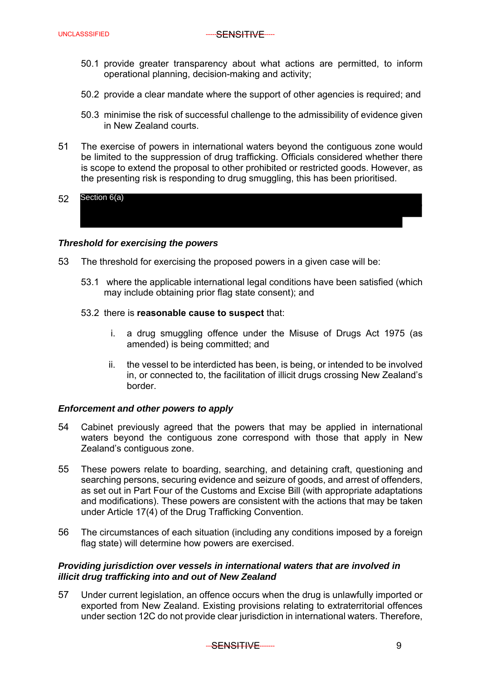- 50.1 provide greater transparency about what actions are permitted, to inform operational planning, decision-making and activity;
- 50.2 provide a clear mandate where the support of other agencies is required; and
- 50.3 minimise the risk of successful challenge to the admissibility of evidence given in New Zealand courts.
- 51 The exercise of powers in international waters beyond the contiguous zone would be limited to the suppression of drug trafficking. Officials considered whether there is scope to extend the proposal to other prohibited or restricted goods. However, as the presenting risk is responding to drug smuggling, this has been prioritised.

#### 52 Section 6(a)

#### *Threshold for exercising the powers*

- 53 The threshold for exercising the proposed powers in a given case will be:
	- 53.1 where the applicable international legal conditions have been satisfied (which may include obtaining prior flag state consent); and
	- 53.2 there is **reasonable cause to suspect** that:
		- i. a drug smuggling offence under the Misuse of Drugs Act 1975 (as amended) is being committed; and
		- ii. the vessel to be interdicted has been, is being, or intended to be involved in, or connected to, the facilitation of illicit drugs crossing New Zealand's border.

#### *Enforcement and other powers to apply*

- 54 Cabinet previously agreed that the powers that may be applied in international waters beyond the contiguous zone correspond with those that apply in New Zealand's contiguous zone.
- 55 These powers relate to boarding, searching, and detaining craft, questioning and searching persons, securing evidence and seizure of goods, and arrest of offenders, as set out in Part Four of the Customs and Excise Bill (with appropriate adaptations and modifications). These powers are consistent with the actions that may be taken under Article 17(4) of the Drug Trafficking Convention.
- 56 The circumstances of each situation (including any conditions imposed by a foreign flag state) will determine how powers are exercised.

#### *Providing jurisdiction over vessels in international waters that are involved in illicit drug trafficking into and out of New Zealand*

57 Under current legislation, an offence occurs when the drug is unlawfully imported or exported from New Zealand. Existing provisions relating to extraterritorial offences under section 12C do not provide clear jurisdiction in international waters. Therefore,

#### SENSITIVE 9 --------------------------------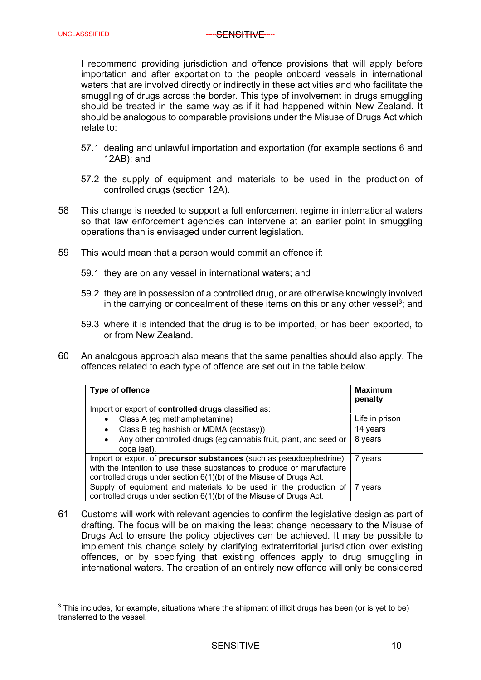-

I recommend providing jurisdiction and offence provisions that will apply before importation and after exportation to the people onboard vessels in international waters that are involved directly or indirectly in these activities and who facilitate the smuggling of drugs across the border. This type of involvement in drugs smuggling should be treated in the same way as if it had happened within New Zealand. It should be analogous to comparable provisions under the Misuse of Drugs Act which relate to:

- 57.1 dealing and unlawful importation and exportation (for example sections 6 and 12AB); and
- 57.2 the supply of equipment and materials to be used in the production of controlled drugs (section 12A).
- 58 This change is needed to support a full enforcement regime in international waters so that law enforcement agencies can intervene at an earlier point in smuggling operations than is envisaged under current legislation.
- 59 This would mean that a person would commit an offence if:
	- 59.1 they are on any vessel in international waters; and
	- 59.2 they are in possession of a controlled drug, or are otherwise knowingly involved in the carrying or concealment of these items on this or any other vessel<sup>3</sup>; and
	- 59.3 where it is intended that the drug is to be imported, or has been exported, to or from New Zealand.
- 60 An analogous approach also means that the same penalties should also apply. The offences related to each type of offence are set out in the table below.

| Type of offence                                                            | <b>Maximum</b><br>penalty |
|----------------------------------------------------------------------------|---------------------------|
| Import or export of controlled drugs classified as:                        |                           |
| Class A (eg methamphetamine)                                               | Life in prison            |
| Class B (eg hashish or MDMA (ecstasy))                                     | 14 years                  |
| Any other controlled drugs (eg cannabis fruit, plant, and seed or          | 8 years                   |
| coca leaf).                                                                |                           |
| Import or export of <b>precursor substances</b> (such as pseudoephedrine), | 7 years                   |
| with the intention to use these substances to produce or manufacture       |                           |
| controlled drugs under section 6(1)(b) of the Misuse of Drugs Act.         |                           |
| Supply of equipment and materials to be used in the production of          | 7 years                   |
| controlled drugs under section 6(1)(b) of the Misuse of Drugs Act.         |                           |

61 Customs will work with relevant agencies to confirm the legislative design as part of drafting. The focus will be on making the least change necessary to the Misuse of Drugs Act to ensure the policy objectives can be achieved. It may be possible to implement this change solely by clarifying extraterritorial jurisdiction over existing offences, or by specifying that existing offences apply to drug smuggling in international waters. The creation of an entirely new offence will only be considered

<sup>&</sup>lt;sup>3</sup> This includes, for example, situations where the shipment of illicit drugs has been (or is yet to be) transferred to the vessel.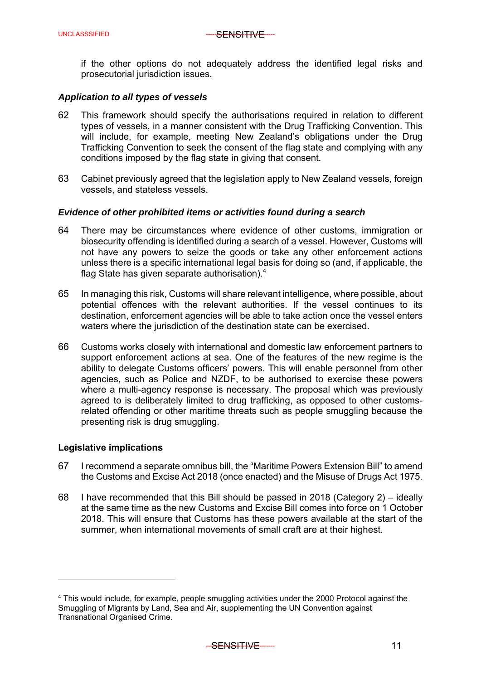if the other options do not adequately address the identified legal risks and prosecutorial jurisdiction issues.

#### *Application to all types of vessels*

- 62 This framework should specify the authorisations required in relation to different types of vessels, in a manner consistent with the Drug Trafficking Convention. This will include, for example, meeting New Zealand's obligations under the Drug Trafficking Convention to seek the consent of the flag state and complying with any conditions imposed by the flag state in giving that consent.
- 63 Cabinet previously agreed that the legislation apply to New Zealand vessels, foreign vessels, and stateless vessels.

#### *Evidence of other prohibited items or activities found during a search*

- 64 There may be circumstances where evidence of other customs, immigration or biosecurity offending is identified during a search of a vessel. However, Customs will not have any powers to seize the goods or take any other enforcement actions unless there is a specific international legal basis for doing so (and, if applicable, the flag State has given separate authorisation).4
- 65 In managing this risk, Customs will share relevant intelligence, where possible, about potential offences with the relevant authorities. If the vessel continues to its destination, enforcement agencies will be able to take action once the vessel enters waters where the jurisdiction of the destination state can be exercised.
- 66 Customs works closely with international and domestic law enforcement partners to support enforcement actions at sea. One of the features of the new regime is the ability to delegate Customs officers' powers. This will enable personnel from other agencies, such as Police and NZDF, to be authorised to exercise these powers where a multi-agency response is necessary. The proposal which was previously agreed to is deliberately limited to drug trafficking, as opposed to other customsrelated offending or other maritime threats such as people smuggling because the presenting risk is drug smuggling.

#### **Legislative implications**

 $\overline{a}$ 

- 67 I recommend a separate omnibus bill, the "Maritime Powers Extension Bill" to amend the Customs and Excise Act 2018 (once enacted) and the Misuse of Drugs Act 1975.
- 68 I have recommended that this Bill should be passed in 2018 (Category 2) ideally at the same time as the new Customs and Excise Bill comes into force on 1 October 2018. This will ensure that Customs has these powers available at the start of the summer, when international movements of small craft are at their highest.

<sup>4</sup> This would include, for example, people smuggling activities under the 2000 Protocol against the Smuggling of Migrants by Land, Sea and Air, supplementing the UN Convention against Transnational Organised Crime.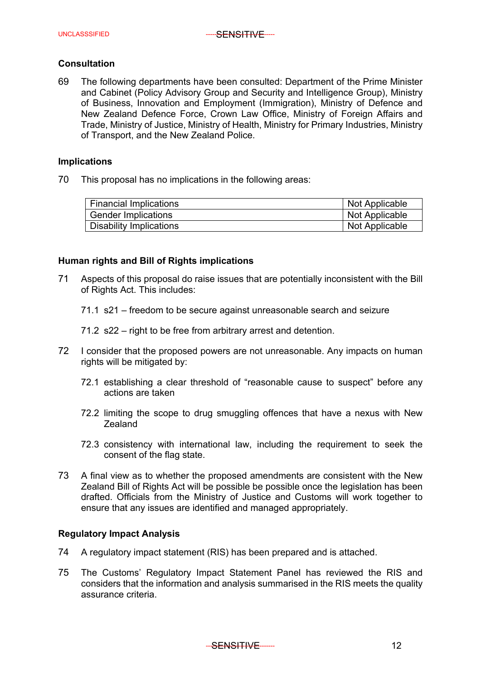#### **Consultation**

69 The following departments have been consulted: Department of the Prime Minister and Cabinet (Policy Advisory Group and Security and Intelligence Group), Ministry of Business, Innovation and Employment (Immigration), Ministry of Defence and New Zealand Defence Force, Crown Law Office, Ministry of Foreign Affairs and Trade, Ministry of Justice, Ministry of Health, Ministry for Primary Industries, Ministry of Transport, and the New Zealand Police.

#### **Implications**

70 This proposal has no implications in the following areas:

| <b>Financial Implications</b> | Not Applicable |
|-------------------------------|----------------|
| <b>Gender Implications</b>    | Not Applicable |
| Disability Implications       | Not Applicable |

#### **Human rights and Bill of Rights implications**

- 71 Aspects of this proposal do raise issues that are potentially inconsistent with the Bill of Rights Act. This includes:
	- 71.1 s21 freedom to be secure against unreasonable search and seizure
	- 71.2 s22 right to be free from arbitrary arrest and detention.
- 72 I consider that the proposed powers are not unreasonable. Any impacts on human rights will be mitigated by:
	- 72.1 establishing a clear threshold of "reasonable cause to suspect" before any actions are taken
	- 72.2 limiting the scope to drug smuggling offences that have a nexus with New Zealand
	- 72.3 consistency with international law, including the requirement to seek the consent of the flag state.
- 73 A final view as to whether the proposed amendments are consistent with the New Zealand Bill of Rights Act will be possible be possible once the legislation has been drafted. Officials from the Ministry of Justice and Customs will work together to ensure that any issues are identified and managed appropriately.

#### **Regulatory Impact Analysis**

- 74 A regulatory impact statement (RIS) has been prepared and is attached.
- 75 The Customs' Regulatory Impact Statement Panel has reviewed the RIS and considers that the information and analysis summarised in the RIS meets the quality assurance criteria.

<u>--SENSITIVE 12</u>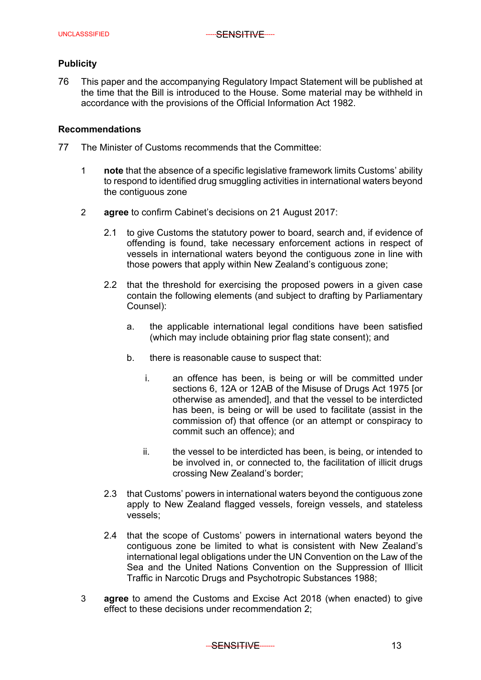#### **Publicity**

76 This paper and the accompanying Regulatory Impact Statement will be published at the time that the Bill is introduced to the House. Some material may be withheld in accordance with the provisions of the Official Information Act 1982.

#### **Recommendations**

- 77 The Minister of Customs recommends that the Committee:
	- 1 **note** that the absence of a specific legislative framework limits Customs' ability to respond to identified drug smuggling activities in international waters beyond the contiguous zone
	- 2 **agree** to confirm Cabinet's decisions on 21 August 2017:
		- 2.1 to give Customs the statutory power to board, search and, if evidence of offending is found, take necessary enforcement actions in respect of vessels in international waters beyond the contiguous zone in line with those powers that apply within New Zealand's contiguous zone;
		- 2.2 that the threshold for exercising the proposed powers in a given case contain the following elements (and subject to drafting by Parliamentary Counsel):
			- a. the applicable international legal conditions have been satisfied (which may include obtaining prior flag state consent); and
			- b. there is reasonable cause to suspect that:
				- i. an offence has been, is being or will be committed under sections 6, 12A or 12AB of the Misuse of Drugs Act 1975 [or otherwise as amended], and that the vessel to be interdicted has been, is being or will be used to facilitate (assist in the commission of) that offence (or an attempt or conspiracy to commit such an offence); and
				- ii. the vessel to be interdicted has been, is being, or intended to be involved in, or connected to, the facilitation of illicit drugs crossing New Zealand's border;
		- 2.3 that Customs' powers in international waters beyond the contiguous zone apply to New Zealand flagged vessels, foreign vessels, and stateless vessels;
		- 2.4 that the scope of Customs' powers in international waters beyond the contiguous zone be limited to what is consistent with New Zealand's international legal obligations under the UN Convention on the Law of the Sea and the United Nations Convention on the Suppression of Illicit Traffic in Narcotic Drugs and Psychotropic Substances 1988;
	- 3 **agree** to amend the Customs and Excise Act 2018 (when enacted) to give effect to these decisions under recommendation 2;